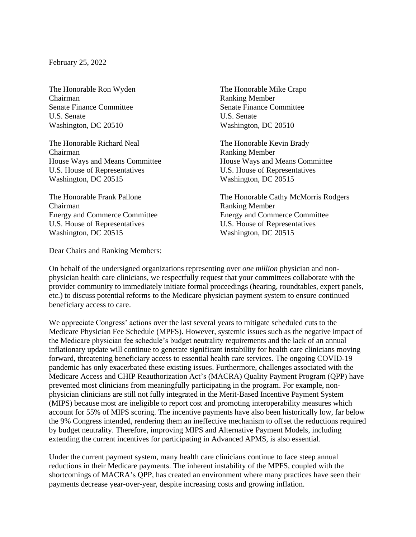February 25, 2022

The Honorable Ron Wyden The Honorable Mike Crapo Chairman Ranking Member Senate Finance Committee Senate Finance Committee U.S. Senate U.S. Senate Washington, DC 20510 Washington, DC 20510

The Honorable Richard Neal The Honorable Kevin Brady Chairman Ranking Member U.S. House of Representatives U.S. House of Representatives Washington, DC 20515 Washington, DC 20515

Chairman Ranking Member U.S. House of Representatives U.S. House of Representatives Washington, DC 20515 Washington, DC 20515

Dear Chairs and Ranking Members:

House Ways and Means Committee House Ways and Means Committee

The Honorable Frank Pallone The Honorable Cathy McMorris Rodgers Energy and Commerce Committee Energy and Commerce Committee

On behalf of the undersigned organizations representing over *one million* physician and nonphysician health care clinicians, we respectfully request that your committees collaborate with the provider community to immediately initiate formal proceedings (hearing, roundtables, expert panels, etc.) to discuss potential reforms to the Medicare physician payment system to ensure continued beneficiary access to care.

We appreciate Congress' actions over the last several years to mitigate scheduled cuts to the Medicare Physician Fee Schedule (MPFS). However, systemic issues such as the negative impact of the Medicare physician fee schedule's budget neutrality requirements and the lack of an annual inflationary update will continue to generate significant instability for health care clinicians moving forward, threatening beneficiary access to essential health care services. The ongoing COVID-19 pandemic has only exacerbated these existing issues. Furthermore, challenges associated with the Medicare Access and CHIP Reauthorization Act's (MACRA) Quality Payment Program (QPP) have prevented most clinicians from meaningfully participating in the program. For example, nonphysician clinicians are still not fully integrated in the Merit-Based Incentive Payment System (MIPS) because most are ineligible to report cost and promoting interoperability measures which account for 55% of MIPS scoring. The incentive payments have also been historically low, far below the 9% Congress intended, rendering them an ineffective mechanism to offset the reductions required by budget neutrality. Therefore, improving MIPS and Alternative Payment Models, including extending the current incentives for participating in Advanced APMS, is also essential.

Under the current payment system, many health care clinicians continue to face steep annual reductions in their Medicare payments. The inherent instability of the MPFS, coupled with the shortcomings of MACRA's QPP, has created an environment where many practices have seen their payments decrease year-over-year, despite increasing costs and growing inflation.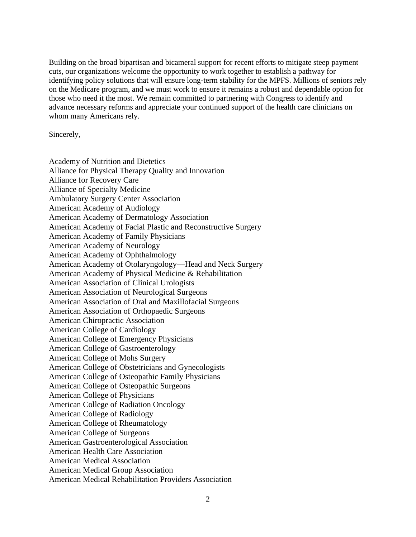Building on the broad bipartisan and bicameral support for recent efforts to mitigate steep payment cuts, our organizations welcome the opportunity to work together to establish a pathway for identifying policy solutions that will ensure long-term stability for the MPFS. Millions of seniors rely on the Medicare program, and we must work to ensure it remains a robust and dependable option for those who need it the most. We remain committed to partnering with Congress to identify and advance necessary reforms and appreciate your continued support of the health care clinicians on whom many Americans rely.

Sincerely,

Academy of Nutrition and Dietetics Alliance for Physical Therapy Quality and Innovation Alliance for Recovery Care Alliance of Specialty Medicine Ambulatory Surgery Center Association American Academy of Audiology American Academy of Dermatology Association American Academy of Facial Plastic and Reconstructive Surgery American Academy of Family Physicians American Academy of Neurology American Academy of Ophthalmology American Academy of Otolaryngology—Head and Neck Surgery American Academy of Physical Medicine & Rehabilitation American Association of Clinical Urologists American Association of Neurological Surgeons American Association of Oral and Maxillofacial Surgeons American Association of Orthopaedic Surgeons American Chiropractic Association American College of Cardiology American College of Emergency Physicians American College of Gastroenterology American College of Mohs Surgery American College of Obstetricians and Gynecologists American College of Osteopathic Family Physicians American College of Osteopathic Surgeons American College of Physicians American College of Radiation Oncology American College of Radiology American College of Rheumatology American College of Surgeons American Gastroenterological Association American Health Care Association American Medical Association American Medical Group Association American Medical Rehabilitation Providers Association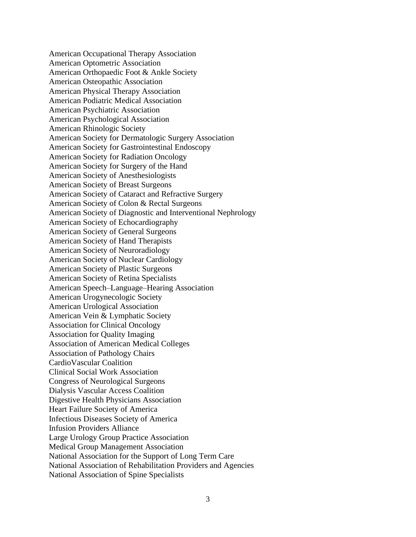American Occupational Therapy Association American Optometric Association American Orthopaedic Foot & Ankle Society American Osteopathic Association American Physical Therapy Association American Podiatric Medical Association American Psychiatric Association American Psychological Association American Rhinologic Society American Society for Dermatologic Surgery Association American Society for Gastrointestinal Endoscopy American Society for Radiation Oncology American Society for Surgery of the Hand American Society of Anesthesiologists American Society of Breast Surgeons American Society of Cataract and Refractive Surgery American Society of Colon & Rectal Surgeons American Society of Diagnostic and Interventional Nephrology American Society of Echocardiography American Society of General Surgeons American Society of Hand Therapists American Society of Neuroradiology American Society of Nuclear Cardiology American Society of Plastic Surgeons American Society of Retina Specialists American Speech–Language–Hearing Association American Urogynecologic Society American Urological Association American Vein & Lymphatic Society Association for Clinical Oncology Association for Quality Imaging Association of American Medical Colleges Association of Pathology Chairs CardioVascular Coalition Clinical Social Work Association Congress of Neurological Surgeons Dialysis Vascular Access Coalition Digestive Health Physicians Association Heart Failure Society of America Infectious Diseases Society of America Infusion Providers Alliance Large Urology Group Practice Association Medical Group Management Association National Association for the Support of Long Term Care National Association of Rehabilitation Providers and Agencies National Association of Spine Specialists